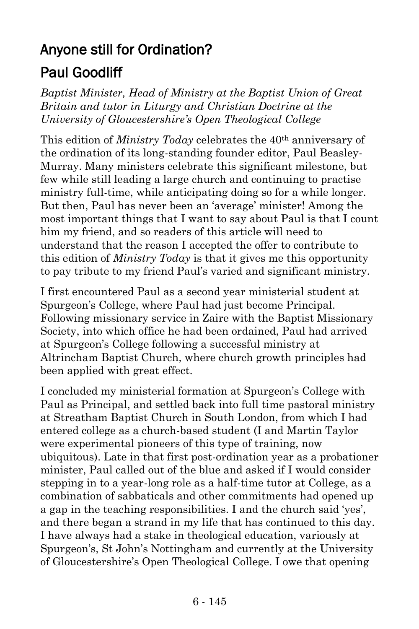## Anyone still for Ordination? Paul Goodliff

*Baptist Minister, Head of Ministry at the Baptist Union of Great Britain and tutor in Liturgy and Christian Doctrine at the University of Gloucestershire's Open Theological College*

This edition of *Ministry Today* celebrates the 40th anniversary of the ordination of its long-standing founder editor, Paul Beasley-Murray. Many ministers celebrate this significant milestone, but few while still leading a large church and continuing to practise ministry full-time, while anticipating doing so for a while longer. But then, Paul has never been an 'average' minister! Among the most important things that I want to say about Paul is that I count him my friend, and so readers of this article will need to understand that the reason I accepted the offer to contribute to this edition of *Ministry Today* is that it gives me this opportunity to pay tribute to my friend Paul's varied and significant ministry.

I first encountered Paul as a second year ministerial student at Spurgeon's College, where Paul had just become Principal. Following missionary service in Zaire with the Baptist Missionary Society, into which office he had been ordained, Paul had arrived at Spurgeon's College following a successful ministry at Altrincham Baptist Church, where church growth principles had been applied with great effect.

I concluded my ministerial formation at Spurgeon's College with Paul as Principal, and settled back into full time pastoral ministry at Streatham Baptist Church in South London, from which I had entered college as a church-based student (I and Martin Taylor were experimental pioneers of this type of training, now ubiquitous). Late in that first post-ordination year as a probationer minister, Paul called out of the blue and asked if I would consider stepping in to a year-long role as a half-time tutor at College, as a combination of sabbaticals and other commitments had opened up a gap in the teaching responsibilities. I and the church said 'yes', and there began a strand in my life that has continued to this day. I have always had a stake in theological education, variously at Spurgeon's, St John's Nottingham and currently at the University of Gloucestershire's Open Theological College. I owe that opening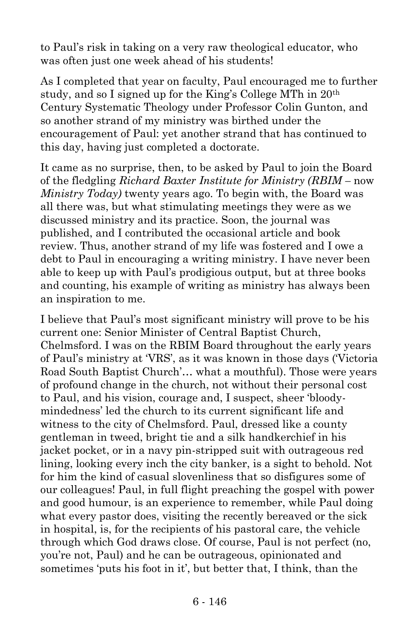to Paul's risk in taking on a very raw theological educator, who was often just one week ahead of his students!

As I completed that year on faculty, Paul encouraged me to further study, and so I signed up for the King's College MTh in 20th Century Systematic Theology under Professor Colin Gunton, and so another strand of my ministry was birthed under the encouragement of Paul: yet another strand that has continued to this day, having just completed a doctorate.

It came as no surprise, then, to be asked by Paul to join the Board of the fledgling *Richard Baxter Institute for Ministry (RBIM –* now *Ministry Today)* twenty years ago. To begin with, the Board was all there was, but what stimulating meetings they were as we discussed ministry and its practice. Soon, the journal was published, and I contributed the occasional article and book review. Thus, another strand of my life was fostered and I owe a debt to Paul in encouraging a writing ministry. I have never been able to keep up with Paul's prodigious output, but at three books and counting, his example of writing as ministry has always been an inspiration to me.

I believe that Paul's most significant ministry will prove to be his current one: Senior Minister of Central Baptist Church, Chelmsford. I was on the RBIM Board throughout the early years of Paul's ministry at 'VRS', as it was known in those days ('Victoria Road South Baptist Church'… what a mouthful). Those were years of profound change in the church, not without their personal cost to Paul, and his vision, courage and, I suspect, sheer 'bloodymindedness' led the church to its current significant life and witness to the city of Chelmsford. Paul, dressed like a county gentleman in tweed, bright tie and a silk handkerchief in his jacket pocket, or in a navy pin-stripped suit with outrageous red lining, looking every inch the city banker, is a sight to behold. Not for him the kind of casual slovenliness that so disfigures some of our colleagues! Paul, in full flight preaching the gospel with power and good humour, is an experience to remember, while Paul doing what every pastor does, visiting the recently bereaved or the sick in hospital, is, for the recipients of his pastoral care, the vehicle through which God draws close. Of course, Paul is not perfect (no, you're not, Paul) and he can be outrageous, opinionated and sometimes 'puts his foot in it', but better that, I think, than the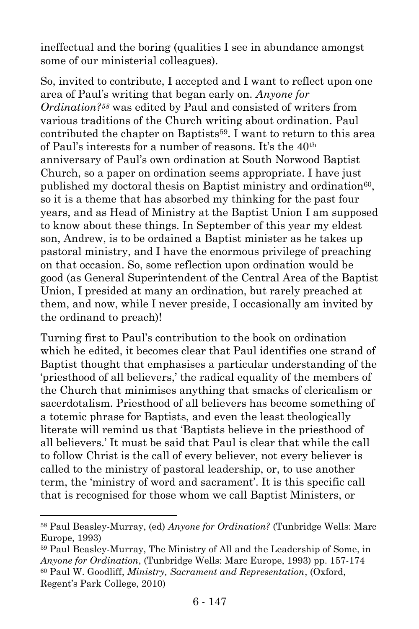ineffectual and the boring (qualities I see in abundance amongst some of our ministerial colleagues).

So, invited to contribute, I accepted and I want to reflect upon one area of Paul's writing that began early on. *Anyone for Ordination?<sup>58</sup>* was edited by Paul and consisted of writers from various traditions of the Church writing about ordination. Paul contributed the chapter on Baptists<sup>59</sup>. I want to return to this area of Paul's interests for a number of reasons. It's the 40th anniversary of Paul's own ordination at South Norwood Baptist Church, so a paper on ordination seems appropriate. I have just published my doctoral thesis on Baptist ministry and ordination<sup>60</sup>, so it is a theme that has absorbed my thinking for the past four years, and as Head of Ministry at the Baptist Union I am supposed to know about these things. In September of this year my eldest son, Andrew, is to be ordained a Baptist minister as he takes up pastoral ministry, and I have the enormous privilege of preaching on that occasion. So, some reflection upon ordination would be good (as General Superintendent of the Central Area of the Baptist Union, I presided at many an ordination, but rarely preached at them, and now, while I never preside, I occasionally am invited by the ordinand to preach)!

Turning first to Paul's contribution to the book on ordination which he edited, it becomes clear that Paul identifies one strand of Baptist thought that emphasises a particular understanding of the 'priesthood of all believers,' the radical equality of the members of the Church that minimises anything that smacks of clericalism or sacerdotalism. Priesthood of all believers has become something of a totemic phrase for Baptists, and even the least theologically literate will remind us that 'Baptists believe in the priesthood of all believers.' It must be said that Paul is clear that while the call to follow Christ is the call of every believer, not every believer is called to the ministry of pastoral leadership, or, to use another term, the 'ministry of word and sacrament'. It is this specific call that is recognised for those whom we call Baptist Ministers, or

 $\overline{a}$ 

<sup>58</sup> Paul Beasley-Murray, (ed) *Anyone for Ordination?* (Tunbridge Wells: Marc Europe, 1993)

<sup>59</sup> Paul Beasley-Murray, The Ministry of All and the Leadership of Some, in *Anyone for Ordination*, (Tunbridge Wells: Marc Europe, 1993) pp. 157-174 <sup>60</sup> Paul W. Goodliff, *Ministry, Sacrament and Representation*, (Oxford, Regent's Park College, 2010)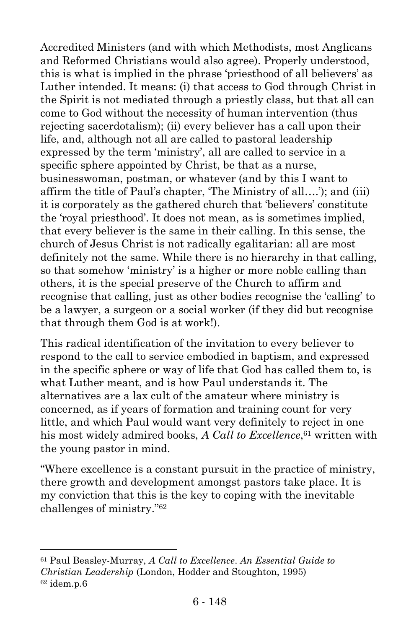Accredited Ministers (and with which Methodists, most Anglicans and Reformed Christians would also agree). Properly understood, this is what is implied in the phrase 'priesthood of all believers' as Luther intended. It means: (i) that access to God through Christ in the Spirit is not mediated through a priestly class, but that all can come to God without the necessity of human intervention (thus rejecting sacerdotalism); (ii) every believer has a call upon their life, and, although not all are called to pastoral leadership expressed by the term 'ministry', all are called to service in a specific sphere appointed by Christ, be that as a nurse, businesswoman, postman, or whatever (and by this I want to affirm the title of Paul's chapter, 'The Ministry of all….'); and (iii) it is corporately as the gathered church that 'believers' constitute the 'royal priesthood'. It does not mean, as is sometimes implied, that every believer is the same in their calling. In this sense, the church of Jesus Christ is not radically egalitarian: all are most definitely not the same. While there is no hierarchy in that calling, so that somehow 'ministry' is a higher or more noble calling than others, it is the special preserve of the Church to affirm and recognise that calling, just as other bodies recognise the 'calling' to be a lawyer, a surgeon or a social worker (if they did but recognise that through them God is at work!).

This radical identification of the invitation to every believer to respond to the call to service embodied in baptism, and expressed in the specific sphere or way of life that God has called them to, is what Luther meant, and is how Paul understands it. The alternatives are a lax cult of the amateur where ministry is concerned, as if years of formation and training count for very little, and which Paul would want very definitely to reject in one his most widely admired books, *A Call to Excellence*, <sup>61</sup> written with the young pastor in mind.

"Where excellence is a constant pursuit in the practice of ministry, there growth and development amongst pastors take place. It is my conviction that this is the key to coping with the inevitable challenges of ministry." 62

l

<sup>61</sup> Paul Beasley-Murray, *A Call to Excellence*. *An Essential Guide to Christian Leadership* (London, Hodder and Stoughton, 1995)  $62$  idem.p. $6$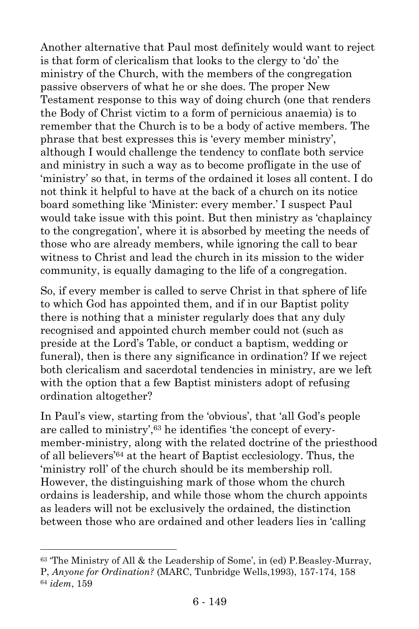Another alternative that Paul most definitely would want to reject is that form of clericalism that looks to the clergy to 'do' the ministry of the Church, with the members of the congregation passive observers of what he or she does. The proper New Testament response to this way of doing church (one that renders the Body of Christ victim to a form of pernicious anaemia) is to remember that the Church is to be a body of active members. The phrase that best expresses this is 'every member ministry', although I would challenge the tendency to conflate both service and ministry in such a way as to become profligate in the use of 'ministry' so that, in terms of the ordained it loses all content. I do not think it helpful to have at the back of a church on its notice board something like 'Minister: every member.' I suspect Paul would take issue with this point. But then ministry as 'chaplaincy to the congregation', where it is absorbed by meeting the needs of those who are already members, while ignoring the call to bear witness to Christ and lead the church in its mission to the wider community, is equally damaging to the life of a congregation.

So, if every member is called to serve Christ in that sphere of life to which God has appointed them, and if in our Baptist polity there is nothing that a minister regularly does that any duly recognised and appointed church member could not (such as preside at the Lord's Table, or conduct a baptism, wedding or funeral), then is there any significance in ordination? If we reject both clericalism and sacerdotal tendencies in ministry, are we left with the option that a few Baptist ministers adopt of refusing ordination altogether?

In Paul's view, starting from the 'obvious', that 'all God's people are called to ministry',<sup>63</sup> he identifies 'the concept of everymember-ministry, along with the related doctrine of the priesthood of all believers'<sup>64</sup> at the heart of Baptist ecclesiology. Thus, the 'ministry roll' of the church should be its membership roll. However, the distinguishing mark of those whom the church ordains is leadership, and while those whom the church appoints as leaders will not be exclusively the ordained, the distinction between those who are ordained and other leaders lies in 'calling

l

<sup>63</sup> 'The Ministry of All & the Leadership of Some', in (ed) P.Beasley-Murray, P, *Anyone for Ordination?* (MARC, Tunbridge Wells,1993), 157-174, 158 <sup>64</sup> *idem*, 159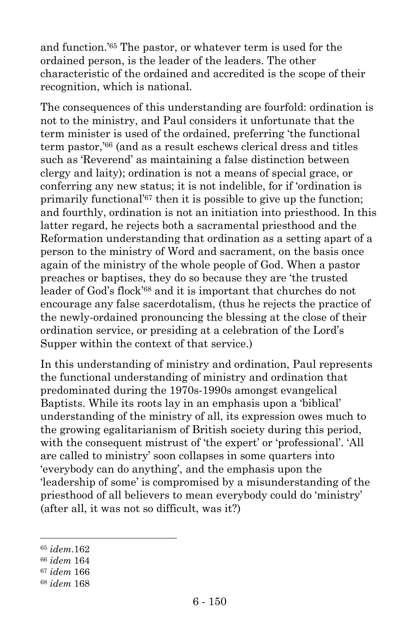and function.'<sup>65</sup> The pastor, or whatever term is used for the ordained person, is the leader of the leaders. The other characteristic of the ordained and accredited is the scope of their recognition, which is national.

The consequences of this understanding are fourfold: ordination is not to the ministry, and Paul considers it unfortunate that the term minister is used of the ordained, preferring 'the functional term pastor,'<sup>66</sup> (and as a result eschews clerical dress and titles such as 'Reverend' as maintaining a false distinction between clergy and laity); ordination is not a means of special grace, or conferring any new status; it is not indelible, for if 'ordination is primarily functional'<sup>67</sup> then it is possible to give up the function; and fourthly, ordination is not an initiation into priesthood. In this latter regard, he rejects both a sacramental priesthood and the Reformation understanding that ordination as a setting apart of a person to the ministry of Word and sacrament, on the basis once again of the ministry of the whole people of God. When a pastor preaches or baptises, they do so because they are 'the trusted leader of God's flock'<sup>68</sup> and it is important that churches do not encourage any false sacerdotalism, (thus he rejects the practice of the newly-ordained pronouncing the blessing at the close of their ordination service, or presiding at a celebration of the Lord's Supper within the context of that service.)

In this understanding of ministry and ordination, Paul represents the functional understanding of ministry and ordination that predominated during the 1970s-1990s amongst evangelical Baptists. While its roots lay in an emphasis upon a 'biblical' understanding of the ministry of all, its expression owes much to the growing egalitarianism of British society during this period, with the consequent mistrust of 'the expert' or 'professional'. 'All are called to ministry' soon collapses in some quarters into 'everybody can do anything', and the emphasis upon the 'leadership of some' is compromised by a misunderstanding of the priesthood of all believers to mean everybody could do 'ministry' (after all, it was not so difficult, was it?)

l

<sup>65</sup> *idem*.162

<sup>66</sup> *idem* 164

<sup>67</sup> *idem* 166

<sup>68</sup> *idem* 168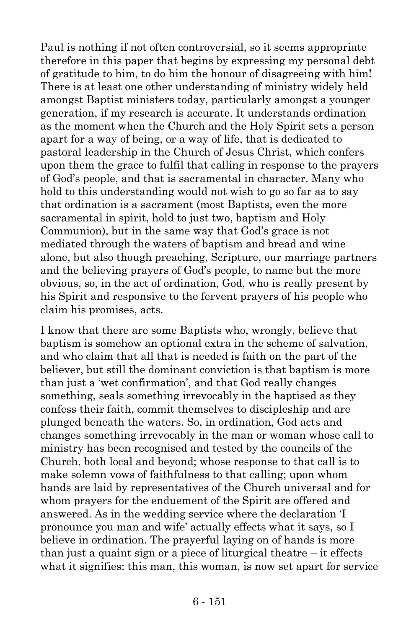Paul is nothing if not often controversial, so it seems appropriate therefore in this paper that begins by expressing my personal debt of gratitude to him, to do him the honour of disagreeing with him! There is at least one other understanding of ministry widely held amongst Baptist ministers today, particularly amongst a younger generation, if my research is accurate. It understands ordination as the moment when the Church and the Holy Spirit sets a person apart for a way of being, or a way of life, that is dedicated to pastoral leadership in the Church of Jesus Christ, which confers upon them the grace to fulfil that calling in response to the prayers of God's people, and that is sacramental in character. Many who hold to this understanding would not wish to go so far as to say that ordination is a sacrament (most Baptists, even the more sacramental in spirit, hold to just two, baptism and Holy Communion), but in the same way that God's grace is not mediated through the waters of baptism and bread and wine alone, but also though preaching, Scripture, our marriage partners and the believing prayers of God's people, to name but the more obvious, so, in the act of ordination, God, who is really present by his Spirit and responsive to the fervent prayers of his people who claim his promises, acts.

I know that there are some Baptists who, wrongly, believe that baptism is somehow an optional extra in the scheme of salvation, and who claim that all that is needed is faith on the part of the believer, but still the dominant conviction is that baptism is more than just a 'wet confirmation', and that God really changes something, seals something irrevocably in the baptised as they confess their faith, commit themselves to discipleship and are plunged beneath the waters. So, in ordination, God acts and changes something irrevocably in the man or woman whose call to ministry has been recognised and tested by the councils of the Church, both local and beyond; whose response to that call is to make solemn vows of faithfulness to that calling; upon whom hands are laid by representatives of the Church universal and for whom prayers for the enduement of the Spirit are offered and answered. As in the wedding service where the declaration 'I pronounce you man and wife' actually effects what it says, so I believe in ordination. The prayerful laying on of hands is more than just a quaint sign or a piece of liturgical theatre  $-$  it effects what it signifies: this man, this woman, is now set apart for service